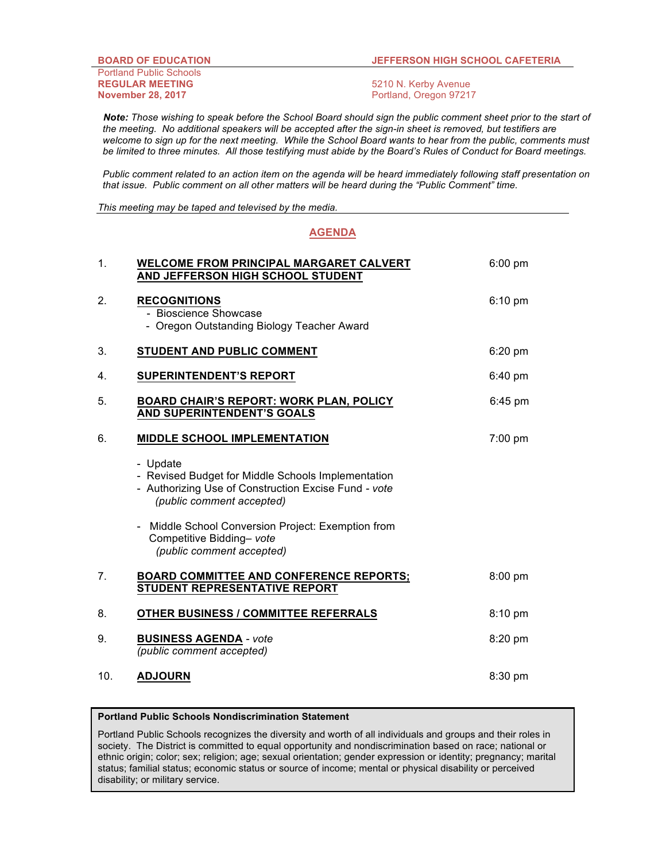## **BOARD OF EDUCATION JEFFERSON HIGH SCHOOL CAFETERIA**

Portland Public Schools **REGULAR MEETING** 5210 N. Kerby Avenue **November 28, 2017 Portland, Oregon 97217** 

 *Note: Those wishing to speak before the School Board should sign the public comment sheet prior to the start of the meeting. No additional speakers will be accepted after the sign-in sheet is removed, but testifiers are welcome to sign up for the next meeting. While the School Board wants to hear from the public, comments must be limited to three minutes. All those testifying must abide by the Board's Rules of Conduct for Board meetings.*

*Public comment related to an action item on the agenda will be heard immediately following staff presentation on that issue. Public comment on all other matters will be heard during the "Public Comment" time.*

*This meeting may be taped and televised by the media.*

## **AGENDA**

| 1.             | <b>WELCOME FROM PRINCIPAL MARGARET CALVERT</b><br>AND JEFFERSON HIGH SCHOOL STUDENT                                                                 | $6:00$ pm |
|----------------|-----------------------------------------------------------------------------------------------------------------------------------------------------|-----------|
| 2.             | <b>RECOGNITIONS</b><br>- Bioscience Showcase<br>- Oregon Outstanding Biology Teacher Award                                                          | $6:10$ pm |
| 3.             | STUDENT AND PUBLIC COMMENT                                                                                                                          | $6:20$ pm |
| 4.             | <b>SUPERINTENDENT'S REPORT</b>                                                                                                                      | $6:40$ pm |
| 5.             | <b>BOARD CHAIR'S REPORT: WORK PLAN, POLICY</b><br><b>AND SUPERINTENDENT'S GOALS</b>                                                                 | $6:45$ pm |
| 6.             | <b>MIDDLE SCHOOL IMPLEMENTATION</b>                                                                                                                 | $7:00$ pm |
|                | - Update<br>- Revised Budget for Middle Schools Implementation<br>- Authorizing Use of Construction Excise Fund - vote<br>(public comment accepted) |           |
|                | Middle School Conversion Project: Exemption from<br>Competitive Bidding- vote<br>(public comment accepted)                                          |           |
| 7 <sub>1</sub> | <b>BOARD COMMITTEE AND CONFERENCE REPORTS;</b><br>STUDENT REPRESENTATIVE REPORT                                                                     | 8:00 pm   |
| 8.             | <b>OTHER BUSINESS / COMMITTEE REFERRALS</b>                                                                                                         | 8:10 pm   |
| 9.             | <b>BUSINESS AGENDA - vote</b><br>(public comment accepted)                                                                                          | 8:20 pm   |
| 10.            | <b>ADJOURN</b>                                                                                                                                      | 8:30 pm   |

## **Portland Public Schools Nondiscrimination Statement**

Portland Public Schools recognizes the diversity and worth of all individuals and groups and their roles in society. The District is committed to equal opportunity and nondiscrimination based on race; national or ethnic origin; color; sex; religion; age; sexual orientation; gender expression or identity; pregnancy; marital status; familial status; economic status or source of income; mental or physical disability or perceived disability; or military service.